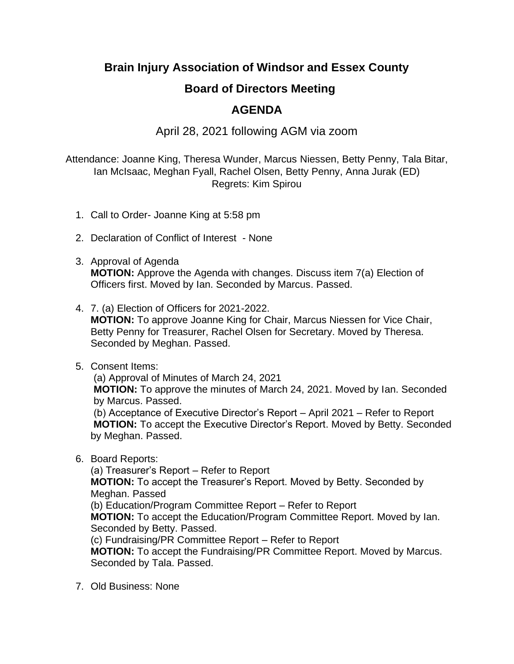## **Brain Injury Association of Windsor and Essex County**

## **Board of Directors Meeting**

## **AGENDA**

## April 28, 2021 following AGM via zoom

Attendance: Joanne King, Theresa Wunder, Marcus Niessen, Betty Penny, Tala Bitar, Ian McIsaac, Meghan Fyall, Rachel Olsen, Betty Penny, Anna Jurak (ED) Regrets: Kim Spirou

- 1. Call to Order- Joanne King at 5:58 pm
- 2. Declaration of Conflict of Interest None
- 3. Approval of Agenda **MOTION:** Approve the Agenda with changes. Discuss item 7(a) Election of Officers first. Moved by Ian. Seconded by Marcus. Passed.
- 4. 7. (a) Election of Officers for 2021-2022.
	- **MOTION:** To approve Joanne King for Chair, Marcus Niessen for Vice Chair, Betty Penny for Treasurer, Rachel Olsen for Secretary. Moved by Theresa. Seconded by Meghan. Passed.
- 5. Consent Items:

(a) Approval of Minutes of March 24, 2021

**MOTION:** To approve the minutes of March 24, 2021. Moved by Ian. Seconded by Marcus. Passed.

(b) Acceptance of Executive Director's Report – April 2021 – Refer to Report **MOTION:** To accept the Executive Director's Report. Moved by Betty. Seconded by Meghan. Passed.

6. Board Reports:

(a) Treasurer's Report – Refer to Report

**MOTION:** To accept the Treasurer's Report. Moved by Betty. Seconded by Meghan. Passed

(b) Education/Program Committee Report – Refer to Report

**MOTION:** To accept the Education/Program Committee Report. Moved by Ian. Seconded by Betty. Passed.

(c) Fundraising/PR Committee Report – Refer to Report

**MOTION:** To accept the Fundraising/PR Committee Report. Moved by Marcus. Seconded by Tala. Passed.

7. Old Business: None